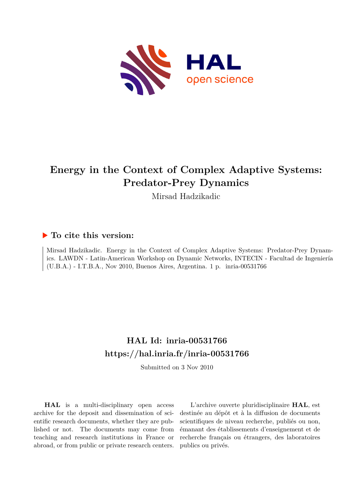

## **Energy in the Context of Complex Adaptive Systems: Predator-Prey Dynamics**

Mirsad Hadzikadic

#### **To cite this version:**

Mirsad Hadzikadic. Energy in the Context of Complex Adaptive Systems: Predator-Prey Dynamics. LAWDN - Latin-American Workshop on Dynamic Networks, INTECIN - Facultad de Ingeniería (U.B.A.) - I.T.B.A., Nov 2010, Buenos Aires, Argentina. 1 p.  $inria-00531766$ 

### **HAL Id: inria-00531766 <https://hal.inria.fr/inria-00531766>**

Submitted on 3 Nov 2010

**HAL** is a multi-disciplinary open access archive for the deposit and dissemination of scientific research documents, whether they are published or not. The documents may come from teaching and research institutions in France or abroad, or from public or private research centers.

L'archive ouverte pluridisciplinaire **HAL**, est destinée au dépôt et à la diffusion de documents scientifiques de niveau recherche, publiés ou non, émanant des établissements d'enseignement et de recherche français ou étrangers, des laboratoires publics ou privés.